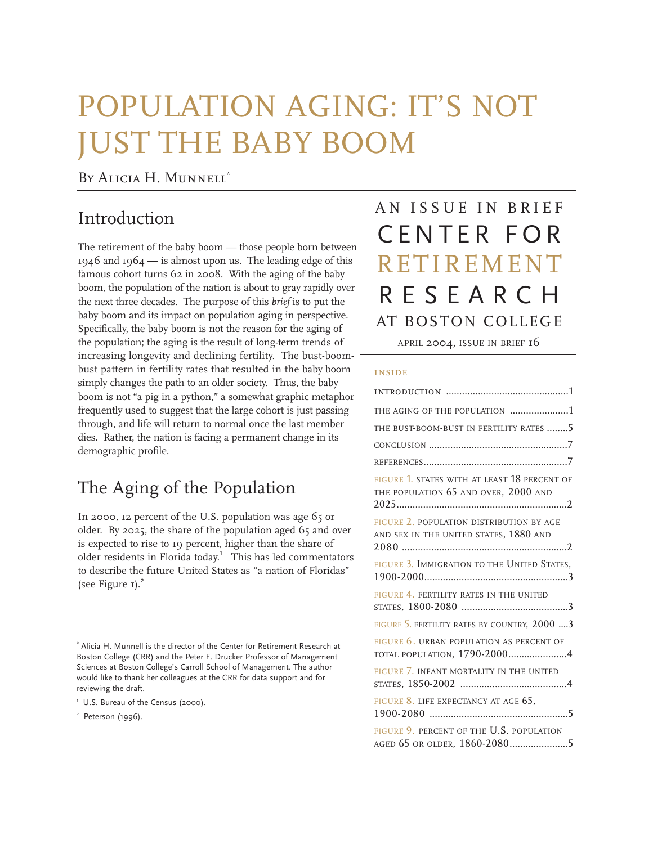# POPULATION AGING: IT'S NOT JUST THE BABY BOOM

#### BY ALICIA H. MUNNELL<sup>\*</sup>

# Introduction

The retirement of the baby boom — those people born betwee n 1946 and 1964 — is almost upon us. The leading edge of this famous cohort turns 62 in 2008. With the aging of the baby boom, the population of the nation is about to gray rapidly ove r the next three decades. The purpose of this *brief* is to put the baby boom and its impact on population aging in perspective. Specifically, the baby boom is not the reason for the aging of the population; the aging is the result of long-term trends of increasing longevity and declining fertility. The bust-boombust pattern in fertility rates that resulted in the baby boom simply changes the path to an older society. Thus, the baby boom is not "a pig in a python," a somewhat graphic metaphor frequently used to suggest that the large cohort is just passing through, and life will return to normal once the last member dies. Rather, the nation is facing a permanent change in its demographic profile.

# The Aging of the Population

In 2000, 12 percent of the U.S. population was age 65 or older. By 2025, the share of the population aged 65 and over is expected to rise to 19 percent, higher than the share of older residents in Florida today.<sup>1</sup> This has led commentators to describe the future United States as "a nation of Floridas" (see Figure  $I$ ).<sup>2</sup>

<sup>2</sup> Peterson (1996).

# AN ISSUE IN BRIEF CENTER FOR RETIREMENT RESEARCH AT BOSTON COLLEGE

APRIL 2004, ISSUE IN BRIEF 16

#### inside

| THE AGING OF THE POPULATION 1                                                        |
|--------------------------------------------------------------------------------------|
| THE BUST-BOOM-BUST IN FERTILITY RATES 5                                              |
|                                                                                      |
|                                                                                      |
| FIGURE 1. STATES WITH AT LEAST 18 PERCENT OF<br>THE POPULATION 65 AND OVER, 2000 AND |
| FIGURE 2. POPULATION DISTRIBUTION BY AGE<br>AND SEX IN THE UNITED STATES, 1880 AND   |
| FIGURE 3. IMMIGRATION TO THE UNITED STATES,                                          |
| FIGURE 4. FERTILITY RATES IN THE UNITED                                              |
| FIGURE 5. FERTILITY RATES BY COUNTRY, 2000  3                                        |
| FIGURE 6. URBAN POPULATION AS PERCENT OF<br>TOTAL POPULATION, 1790-20004             |
| FIGURE 7. INFANT MORTALITY IN THE UNITED                                             |
| FIGURE 8. LIFE EXPECTANCY AT AGE 65,                                                 |
| FIGURE 9. PERCENT OF THE U.S. POPULATION                                             |

<sup>\*</sup> Alicia H. Munnell is the director of the Center for Retirement Research at Boston College (CRR) and the Peter F. Drucker Professor of Management Sciences at Boston College's Carroll School of Management. The author would like to thank her colleagues at the CRR for data support and for reviewing the draft.

<sup>&</sup>lt;sup>1</sup> U.S. Bureau of the Census (2000).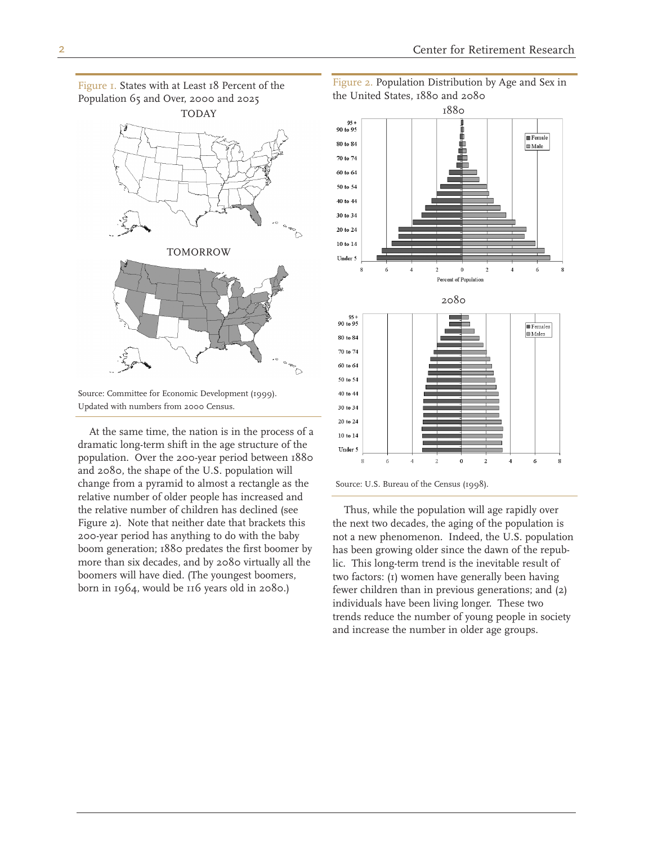Figure 1. States with at Least 18 Percent of the Population 65 and Over, 2000 and 2025



Source: Committee for Economic Development (1999). Updated with numbers from 2000 Census.

At the same time, the nation is in the process of a dramatic long-term shift in the age structure of the population. Over the 200-year period between 1880 and 2080, the shape of the U.S. population will change from a pyramid to almost a rectangle as the relative number of older people has increased and the relative number of children has declined (see Figure 2). Note that neither date that brackets this 200-year period has anything to do with the baby boom generation; 1880 predates the first boomer by more than six decades, and by 2080 virtually all the boomers will have died. (The youngest boomers, born in 1964, would be 116 years old in 2080.)

Figure 2. Population Distribution by Age and Sex in the United States, 1880 and 2080



Thus, while the population will age rapidly over the next two decades, the aging of the population is not a new phenomenon. Indeed, the U.S. population has been growing older since the dawn of the republic. This long-term trend is the inevitable result of two factors: (1) women have generally been having fewer children than in previous generations; and (2) individuals have been living longer. These two trends reduce the number of young people in society and increase the number in older age groups.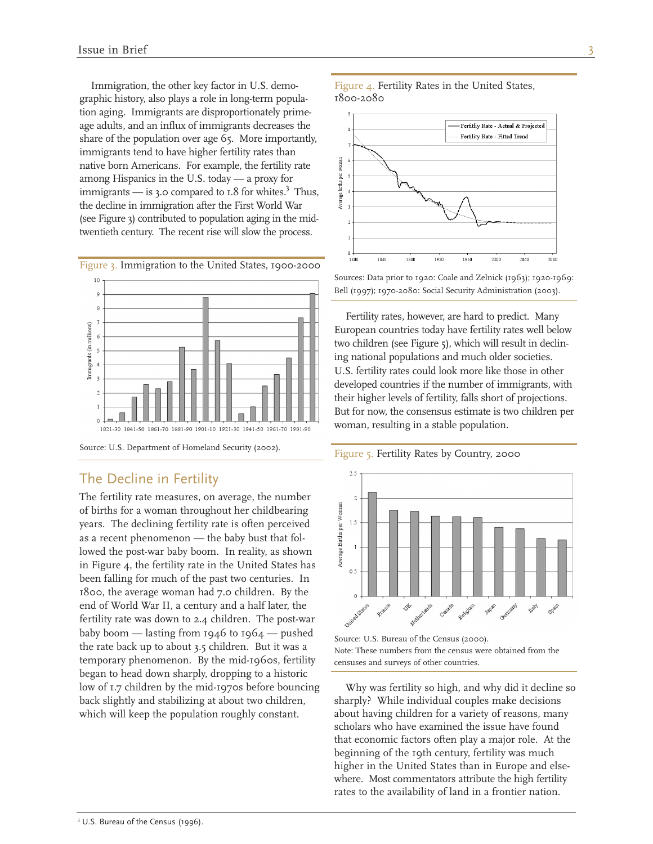Immigration, the other key factor in U.S. demographic history, also plays a role in long-term population aging. Immigrants are disproportionately primeage adults, and an influx of immigrants decreases the share of the population over age 65. More importantly, immigrants tend to have higher fertility rates than native born Americans. For example, the fertility rate among Hispanics in the U.S. today — a proxy for immigrants — is 3.0 compared to  $1.8$  for whites.<sup>3</sup> Thus, the decline in immigration after the First World War (see Figure 3) contributed to population aging in the midtwentieth century. The recent rise will slow the process.



Figure 3. Immigration to the United States, 1900-2000

Source: U.S. Department of Homeland Security (2002).

#### The Decline in Fertility

The fertility rate measures, on average, the number of births for a woman throughout her childbearing years. The declining fertility rate is often perceived as a recent phenomenon — the baby bust that followed the post-war baby boom. In reality, as shown in Figure 4, the fertility rate in the United States has been falling for much of the past two centuries. In 1800, the average woman had 7.0 children. By the end of World War II, a century and a half later, the fertility rate was down to 2.4 children. The post-war baby boom — lasting from  $1946$  to  $1964$  — pushed the rate back up to about 3.5 children. But it was a temporary phenomenon. By the mid-1960s, fertility began to head down sharply, dropping to a historic low of 1.7 children by the mid-1970s before bouncing back slightly and stabilizing at about two children, which will keep the population roughly constant.

Figure 4. Fertility Rates in the United States, 1800-2080



Sources: Data prior to 1920: Coale and Zelnick (1963); 1920-1969: Bell (1997); 1970-2080: Social Security Administration (2003).

t wo children (see Figure 5), which will result in declini ng national populations and much older societies. t heir higher levels of fertility, falls short of projections. Fertility rates, however, are hard to predict. Many European countries today have fertility rates well below U.S. fertility rates could look more like those in other developed countries if the number of immigrants, with But for now, the consensus estimate is two children per woman, resulting in a stable population.

Figure 5. Fertility Rates by Country, 2000



Source: U.S. Bureau of the Census (2000). Note: These numbers from the census were obtained from the censuses and surveys of other countries.

Why was fertility so high, and why did it decline so sharply? While individual couples make decisions about having children for a variety of reasons, many scholars who have examined the issue have found that economic factors often play a major role. At the beginning of the 19th century, fertility was much higher in the United States than in Europe and elsewhere. Most commentators attribute the high fertility rates to the availability of land in a frontier nation.

<sup>&</sup>lt;sup>3</sup> U.S. Bureau of the Census (1996).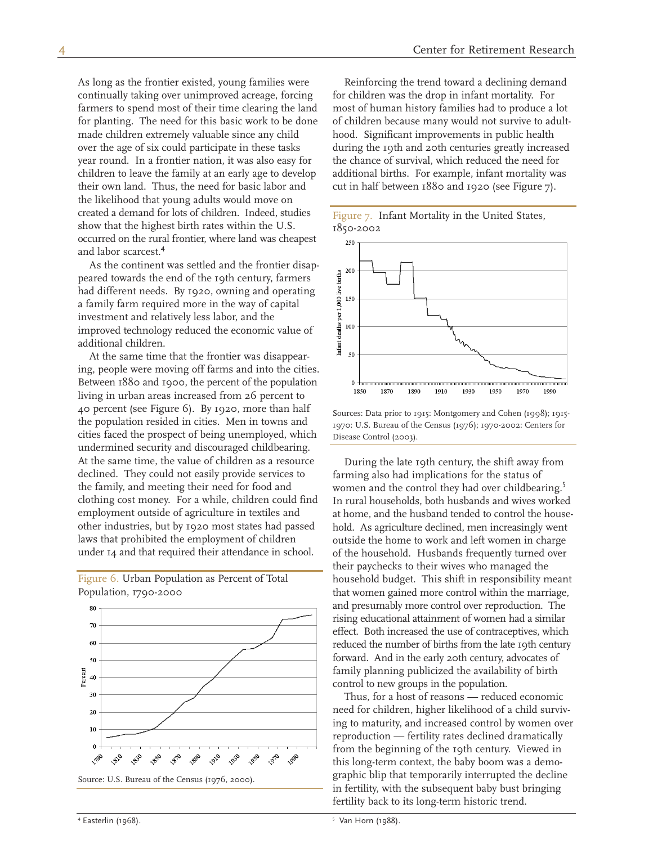As long as the frontier existed, young families were continually taking over unimproved acreage, forcing farmers to spend most of their time clearing the land for planting. The need for this basic work to be done made children extremely valuable since any child over the age of six could participate in these tasks year round. In a frontier nation, it was also easy for children to leave the family at an early age to develop their own land. Thus, the need for basic labor and the likelihood that young adults would move on created a demand for lots of children. Indeed, studies show that the highest birth rates within the U.S. occurred on the rural frontier, where land was cheapest and labor scarcest.<sup>4</sup>

As the continent was settled and the frontier disappeared towards the end of the 19th century, farmers had different needs. By 1920, owning and operating a family farm required more in the way of capital investment and relatively less labor, and the improved technology reduced the economic value of additional children.

At the same time that the frontier was disappearing, people were moving off farms and into the cities. Between 1880 and 1900, the percent of the population living in urban areas increased from 26 percent to 40 percent (see Figure 6). By 1920, more than half the population resided in cities. Men in towns and cities faced the prospect of being unemployed, which undermined security and discouraged childbearing. At the same time, the value of children as a resource declined. They could not easily provide services to the family, and meeting their need for food and clothing cost money. For a while, children could find employment outside of agriculture in textiles and other industries, but by 1920 most states had passed laws that prohibited the employment of children under 14 and that required their attendance in school.

Figure 6. Urban Population as Percent of Total Population, 1790-2000



Source: U.S. Bureau of the Census (1976, 2000).

Reinforcing the trend toward a declining demand for children was the drop in infant mortality. For most of human history families had to produce a lot of children because many would not survive to adulthood. Significant improvements in public health during the 19th and 20th centuries greatly increased the chance of survival, which reduced the need for additional births. For example, infant mortality was cut in half between 1880 and 1920 (see Figure 7).

| Figure 7. Infant Mortality in the United States, |  |  |  |
|--------------------------------------------------|--|--|--|
| 1850-2002                                        |  |  |  |



Sources: Data prior to 1915: Montgomery and Cohen (1998); 1915- 1970: U.S. Bureau of the Census (1976); 1970-2002: Centers for Disease Control (2003).

During the late 19th century, the shift away from farming also had implications for the status of women and the control they had over childbearing.<sup>5</sup> In rural households, both husbands and wives worked at home, and the husband tended to control the household. As agriculture declined, men increasingly went outside the home to work and left women in charge of the household. Husbands frequently turned over their paychecks to their wives who managed the household budget. This shift in responsibility meant that women gained more control within the marriage, and presumably more control over reproduction. The rising educational attainment of women had a similar effect. Both increased the use of contraceptives, which reduced the number of births from the late 19th century forward. And in the early 20th century, advocates of family planning publicized the availability of birth control to new groups in the population.

Thus, for a host of reasons — reduced economic need for children, higher likelihood of a child surviving to maturity, and increased control by women over reproduction — fertility rates declined dramatically from the beginning of the 19th century. Viewed in this long-term context, the baby boom was a demographic blip that temporarily interrupted the decline in fertility, with the subsequent baby bust bringing fertility back to its long-term historic trend.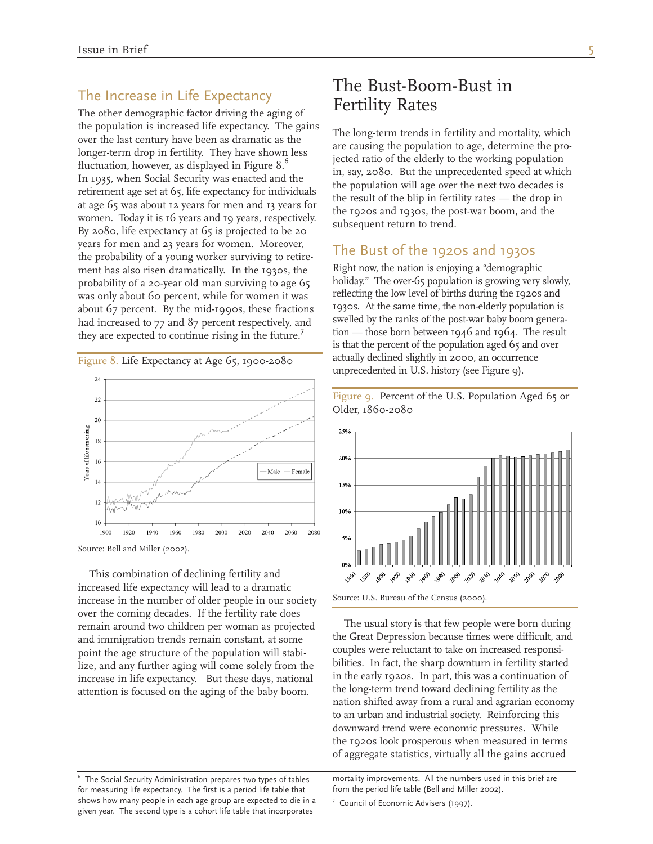#### The Increase in Life Expectancy

The other demographic factor driving the aging of the population is increased life expectancy. The gains over the last century have been as dramatic as the longer-term drop in fertility. They have shown less fluctuation, however, as displayed in Figure  $8.6$ In 1935, when Social Security was enacted and the retirement age set at 65, life expectancy for individuals at age 65 was about 12 years for men and 13 years for women. Today it is 16 years and 19 years, respectively. By 2080, life expectancy at 65 is projected to be 20 years for men and 23 years for women. Moreover, the probability of a young worker surviving to retirement has also risen dramatically. In the 1930s, the probability of a 20-year old man surviving to age 65 was only about 60 percent, while for women it was about 67 percent. By the mid-1990s, these fractions had increased to 77 and 87 percent respectively, and they are expected to continue rising in the future.<sup>7</sup>



This combination of declining fertility and increased life expectancy will lead to a dramatic increase in the number of older people in our society over the coming decades. If the fertility rate does remain around two children per woman as projected and immigration trends remain constant, at some point the age structure of the population will stabilize, and any further aging will come solely from the increase in life expectancy. But these days, national attention is focused on the aging of the baby boom.

# The long-term trends in fertility and mortality, which

Fertility Rates

are causing the population to age, determine the projected ratio of the elderly to the working population in, say, 2080. But the unprecedented speed at which the population will age over the next two decades is the result of the blip in fertility rates — the drop in the 1920s and 1930s, the post-war boom, and the subsequent return to trend.

#### The Bust of the 1920s and 1930s

The Bust-Boom-Bust in

Right now, the nation is enjoying a "demographic holiday." The over-65 population is growing very slowly, reflecting the low level of births during the 1920s and 1930s. At the same time, the non-elderly population is swelled by the ranks of the post-war baby boom generation — those born between 1946 and 1964. The result is that the percent of the population aged 65 and over actually declined slightly in 2000, an occurrence unprecedented in U.S. history (see Figure 9).



Figure 9. Percent of the U.S. Population Aged 65 or Older, 1860-2080

The usual story is that few people were born during the Great Depression because times were difficult, and couples were reluctant to take on increased responsibilities. In fact, the sharp downturn in fertility started in the early 1920s. In part, this was a continuation of the long-term trend toward declining fertility as the nation shifted away from a rural and agrarian economy to an urban and industrial society. Reinforcing this downward trend were economic pressures. While the 1920s look prosperous when measured in terms of aggregate statistics, virtually all the gains accrued

<sup>6</sup> The Social Security Administration prepares two types of tables mortality improvements. All the numbers used in this brief are

Source: U.S. Bureau of the Census (2000).

for measuring life expectancy. The first is a period life table that from the period life table (Bell and Miller 2002). shows how many people in each age group are expected to die in a  $\frac{7}{2}$  Council of Economic Advisers (1997). given year. The second type is a cohort life table that incorporates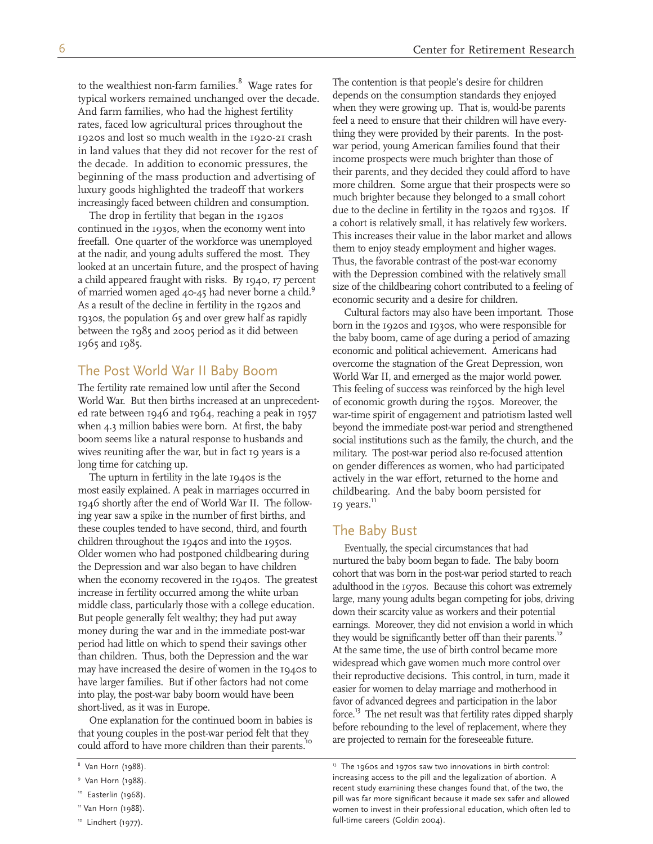to the wealthiest non-farm families.<sup>8</sup> Wage rates for typical workers remained unchanged over the decade. And farm families, who had the highest fertility rates, faced low agricultural prices throughout the 1920s and lost so much wealth in the 1920-21 crash in land values that they did not recover for the rest of the decade. In addition to economic pressures, the beginning of the mass production and advertising of luxury goods highlighted the tradeoff that workers increasingly faced between children and consumption.

The drop in fertility that began in the 1920s continued in the 1930s, when the economy went into freefall. One quarter of the workforce was unemployed at the nadir, and young adults suffered the most. They looked at an uncertain future, and the prospect of having a child appeared fraught with risks. By 1940, 17 percent of married women aged 40-45 had never borne a child.<sup>9</sup> As a result of the decline in fertility in the 1920s and 1930s, the population 65 and over grew half as rapidly between the 1985 and 2005 period as it did between 1965 and 1985.

#### The Post World War II Baby Boom

The fertility rate remained low until after the Second World War. But then births increased at an unprecedented rate between 1946 and 1964, reaching a peak in 1957 when 4.3 million babies were born. At first, the baby boom seems like a natural response to husbands and wives reuniting after the war, but in fact 19 years is a long time for catching up.

The upturn in fertility in the late 1940s is the most easily explained. A peak in marriages occurred in 1946 shortly after the end of World War II. The following year saw a spike in the number of first births, and these couples tended to have second, third, and fourth children throughout the 1940s and into the 1950s. Older women who had postponed childbearing during the Depression and war also began to have children when the economy recovered in the 1940s. The greatest increase in fertility occurred among the white urban middle class, particularly those with a college education. But people generally felt wealthy; they had put away money during the war and in the immediate post-war period had little on which to spend their savings other than children. Thus, both the Depression and the war may have increased the desire of women in the 1940s to have larger families. But if other factors had not come into play, the post-war baby boom would have been short-lived, as it was in Europe.

One explanation for the continued boom in babies is that young couples in the post-war period felt that they could afford to have more children than their parents.<sup>10</sup>

The contention is that people's desire for children depends on the consumption standards they enjoyed when they were growing up. That is, would-be parents feel a need to ensure that their children will have everything they were provided by their parents. In the postwar period, young American families found that their income prospects were much brighter than those of their parents, and they decided they could afford to have more children. Some argue that their prospects were so much brighter because they belonged to a small cohort due to the decline in fertility in the 1920s and 1930s. If a cohort is relatively small, it has relatively few workers. This increases their value in the labor market and allows them to enjoy steady employment and higher wages. Thus, the favorable contrast of the post-war economy with the Depression combined with the relatively small size of the childbearing cohort contributed to a feeling of economic security and a desire for children.

Cultural factors may also have been important. Those born in the 1920s and 1930s, who were responsible for the baby boom, came of age during a period of amazing economic and political achievement. Americans had overcome the stagnation of the Great Depression, won World War II, and emerged as the major world power. This feeling of success was reinforced by the high level of economic growth during the 1950s. Moreover, the war-time spirit of engagement and patriotism lasted well beyond the immediate post-war period and strengthened social institutions such as the family, the church, and the military. The post-war period also re-focused attention on gender differences as women, who had participated actively in the war effort, returned to the home and childbearing. And the baby boom persisted for 19 years.<sup>11</sup>

#### The Baby Bust

Eventually, the special circumstances that had nurtured the baby boom began to fade. The baby boom cohort that was born in the post-war period started to reach adulthood in the 1970s. Because this cohort was extremely large, many young adults began competing for jobs, driving down their scarcity value as workers and their potential earnings. Moreover, they did not envision a world in which they would be significantly better off than their parents.<sup>12</sup> At the same time, the use of birth control became more widespread which gave women much more control over their reproductive decisions. This control, in turn, made it easier for women to delay marriage and motherhood in favor of advanced degrees and participation in the labor force.<sup>13</sup> The net result was that fertility rates dipped sharply before rebounding to the level of replacement, where they are projected to remain for the foreseeable future.

 $8$  Van Horn (1988). 13 The 1960s and 1970s saw two innovations in birth control: 9 Van Horn (1988).<br>
Peter increasing access to the pill and the legalization of abortion. A van Horn (1988).<br>
Peter in the COM Horn (1988). nd the two, the two, the two, the Easterlin (1968).<br>In was far more significant because it made sex safer and allowed pill was far more significant because it made sex safer and allowed women to invest in their professiona women to invest in their professional education, which often led to  $12$  Lindhert (1977). The same carears (Goldin 2004).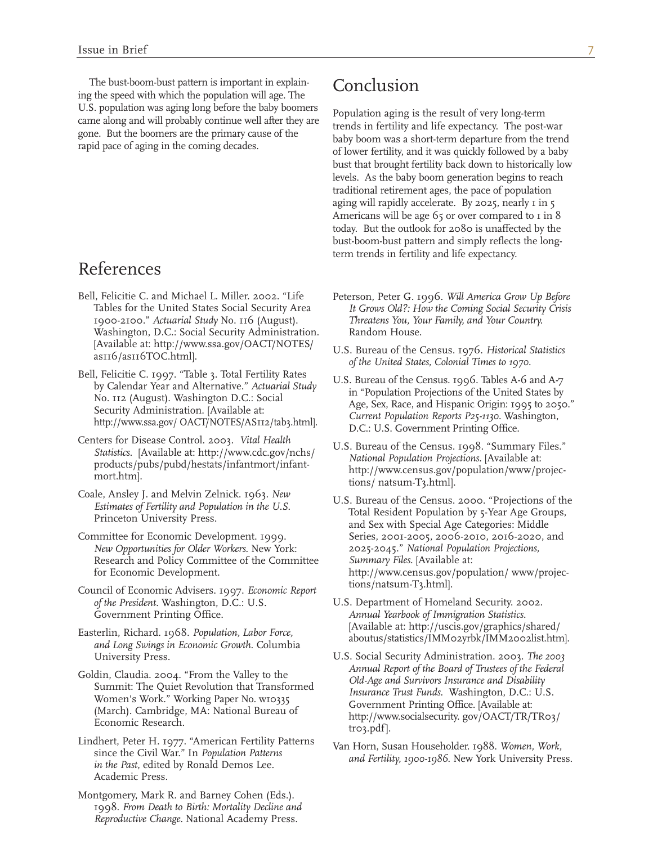The bust-boom-bust pattern is important in explaining the speed with which the population will age. The U.S. population was aging long before the baby boomers came along and will probably continue well after they are gone. But the boomers are the primary cause of the rapid pace of aging in the coming decades.

### References

- 1900-2100." *Actuarial Study* No. 116 (August). *Threatens You, Your Family, and Your Country.* Washington, D.C.: Social Security Administration. Random House. [Available at: http://www.ssa.gov/OACT/NOTES/ U.S. Bureau of the Census. 1976. *Historical Statistics* as116/as116TOC.html]. *of the United States, Colonial Times to 1970.*
- 
- 
- 
- Committee for Economic Development. 1999. Series, 2001-2005, 2006-2010, 2016-2020, and *New Opportunities for Older Workers.* New York: 2025-2045." *National Population Projections,* Research and Policy Committee of the Committee *Summary Files.* [Available at:
- tions/natsum-T3.html]. Council of Economic Advisers. 1997. *Economic Report*
- 
- 
- Lindhert, Peter H. 1977. "American Fertility Patterns<br>since the Civil War." In Population Patterns<br>in the Past, edited by Ronald Demos Lee. and Fertility, 1900-1986. New York University Press. Academic Press.
- Montgomery, Mark R. and Barney Cohen (Eds.). 1998. *From Death to Birth: Mortality Decline and Reproductive Change.* National Academy Press.

# Conclusion

Population aging is the result of very long-term trends in fertility and life expectancy. The post-war baby boom was a short-term departure from the trend of lower fertility, and it was quickly followed by a baby bust that brought fertility back down to historically low levels. As the baby boom generation begins to reach traditional retirement ages, the pace of population aging will rapidly accelerate. By 2025, nearly I in 5 Americans will be age  $65$  or over compared to  $1$  in  $8$ today. But the outlook for 2080 is unaffected by the bust-boom-bust pattern and simply reflects the longterm trends in fertility and life expectancy.

- Bell, Felicitie C. and Michael L. Miller. 2002. "Life Peterson, Peter G. 1996. *Will America Grow Up Before*  Tables for the United States Social Security Area *It Grows Old?: How the Coming Social Security Crisis*
	-
- Bell, Felicitie C. 1997. "Table 3. Total Fertility Rates<br>by Calendar Year and Alternative." Actuarial Study<br>No. 112 (August). Washington D.C.: Social<br>Security Administration. [Available at:<br>http://www.ssa.gov/ OACT/NOTES/A
- Centers for Disease Control. 2003. *Vital Health U.S. Bureau of the Census. 1998.* "Summary Files." <br> *Statistics.* [Available at: http://www.cdc.gov/nchs/ *National Population Projections.* [Available at: http://www.cen
- Coale, Ansley J. and Melvin Zelnick. 1963. New U.S. Bureau of the Census. 2000. "Projections of the Estimates of Fertility and Population in the U.S. Total Resident Population by 5-Year Age Groups, Princeton University Pre for Economic Development. http://www.census.gov/population/ www/projec-
- *of the President.* Washington, D.C.: U.S. U.S. U.S. Department of Homeland Security. 2002.<br>Government Printing Office. Annual Yearbook of Immigration Statistics. Annual Yearbook of Immigration Statistics. [Available at: http://uscis.gov/graphics/shared/ Easterlin, Richard. 1968. *Population, Labor Force,* aboutus/statistics/IMM02yrbk/IMM2002list.htm]. *and Long Swings in Economic Growth*. Columbia
- University Press. U.S. Social Security Administration. 2003. *The 2003*  Goldin, Claudia. 2004. "From the Valley to the Manual Report of the Board of Trustees of the Federal<br>
Summit: The Quiet Revolution that Transformed<br>
Women's Work." Working Paper No. w10335<br>
(March). Cambridge, MA: National
	-